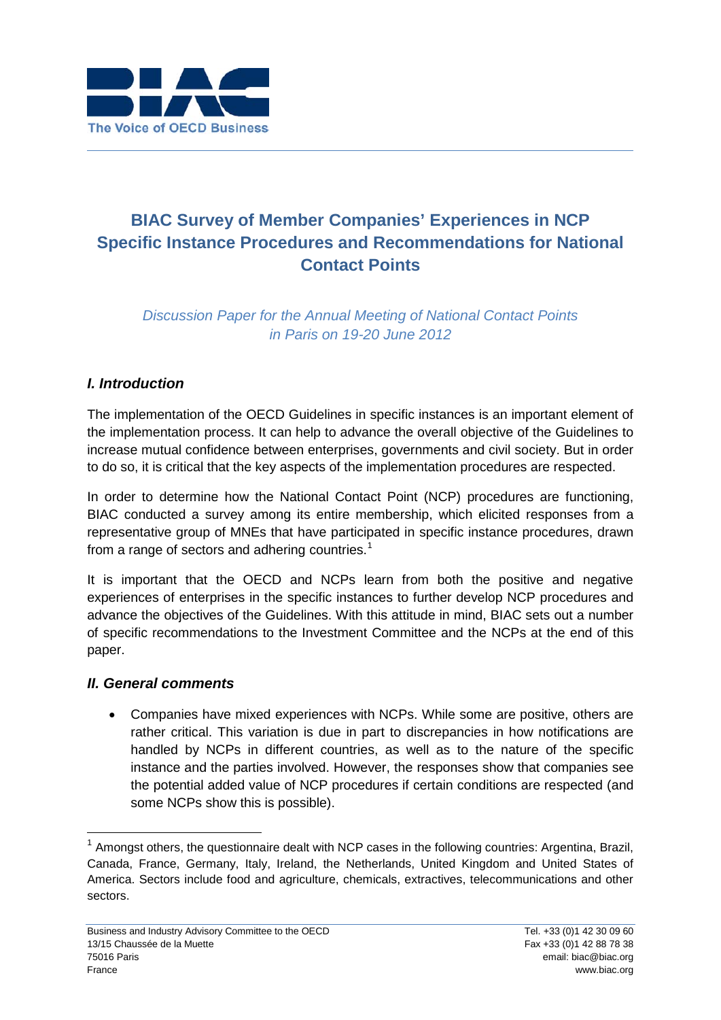

# **BIAC Survey of Member Companies' Experiences in NCP Specific Instance Procedures and Recommendations for National Contact Points**

*Discussion Paper for the Annual Meeting of National Contact Points in Paris on 19-20 June 2012*

# *I. Introduction*

The implementation of the OECD Guidelines in specific instances is an important element of the implementation process. It can help to advance the overall objective of the Guidelines to increase mutual confidence between enterprises, governments and civil society. But in order to do so, it is critical that the key aspects of the implementation procedures are respected.

In order to determine how the National Contact Point (NCP) procedures are functioning, BIAC conducted a survey among its entire membership, which elicited responses from a representative group of MNEs that have participated in specific instance procedures, drawn from a range of sectors and adhering countries.<sup>[1](#page-0-0)</sup>

It is important that the OECD and NCPs learn from both the positive and negative experiences of enterprises in the specific instances to further develop NCP procedures and advance the objectives of the Guidelines. With this attitude in mind, BIAC sets out a number of specific recommendations to the Investment Committee and the NCPs at the end of this paper.

#### *II. General comments*

• Companies have mixed experiences with NCPs. While some are positive, others are rather critical. This variation is due in part to discrepancies in how notifications are handled by NCPs in different countries, as well as to the nature of the specific instance and the parties involved. However, the responses show that companies see the potential added value of NCP procedures if certain conditions are respected (and some NCPs show this is possible).

<span id="page-0-0"></span> $<sup>1</sup>$  Amongst others, the questionnaire dealt with NCP cases in the following countries: Argentina, Brazil,</sup> Canada, France, Germany, Italy, Ireland, the Netherlands, United Kingdom and United States of America. Sectors include food and agriculture, chemicals, extractives, telecommunications and other sectors.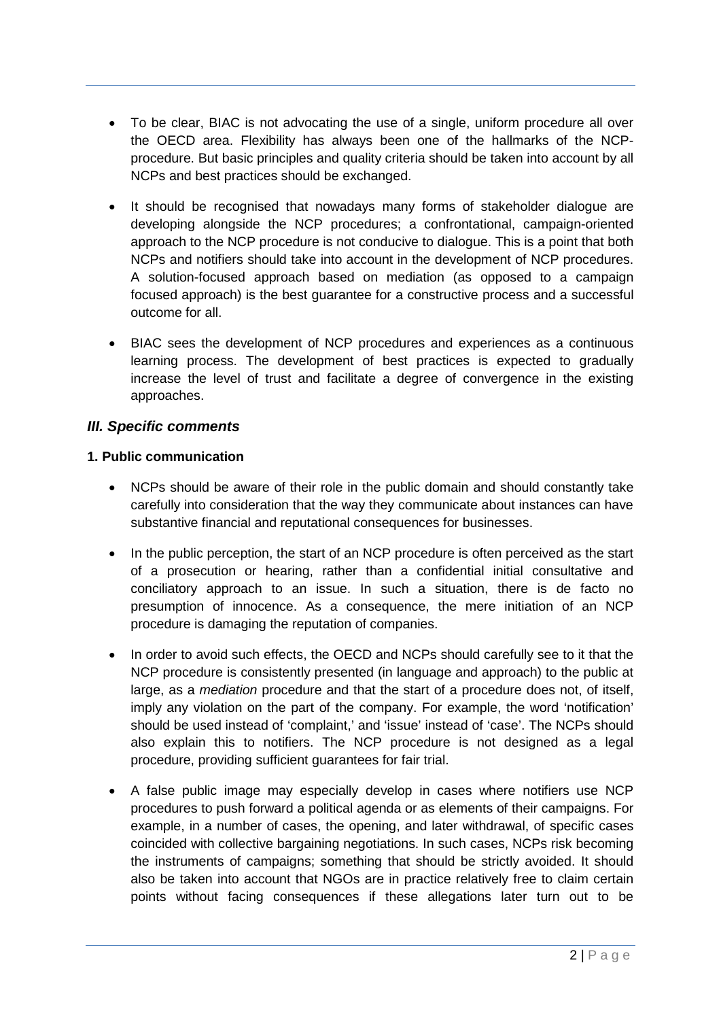- To be clear, BIAC is not advocating the use of a single, uniform procedure all over the OECD area. Flexibility has always been one of the hallmarks of the NCPprocedure. But basic principles and quality criteria should be taken into account by all NCPs and best practices should be exchanged.
- It should be recognised that nowadays many forms of stakeholder dialogue are developing alongside the NCP procedures; a confrontational, campaign-oriented approach to the NCP procedure is not conducive to dialogue. This is a point that both NCPs and notifiers should take into account in the development of NCP procedures. A solution-focused approach based on mediation (as opposed to a campaign focused approach) is the best guarantee for a constructive process and a successful outcome for all.
- BIAC sees the development of NCP procedures and experiences as a continuous learning process. The development of best practices is expected to gradually increase the level of trust and facilitate a degree of convergence in the existing approaches.

### *III. Specific comments*

#### **1. Public communication**

- NCPs should be aware of their role in the public domain and should constantly take carefully into consideration that the way they communicate about instances can have substantive financial and reputational consequences for businesses.
- In the public perception, the start of an NCP procedure is often perceived as the start of a prosecution or hearing, rather than a confidential initial consultative and conciliatory approach to an issue. In such a situation, there is de facto no presumption of innocence. As a consequence, the mere initiation of an NCP procedure is damaging the reputation of companies.
- In order to avoid such effects, the OECD and NCPs should carefully see to it that the NCP procedure is consistently presented (in language and approach) to the public at large, as a *mediation* procedure and that the start of a procedure does not, of itself, imply any violation on the part of the company. For example, the word 'notification' should be used instead of 'complaint,' and 'issue' instead of 'case'. The NCPs should also explain this to notifiers. The NCP procedure is not designed as a legal procedure, providing sufficient guarantees for fair trial.
- A false public image may especially develop in cases where notifiers use NCP procedures to push forward a political agenda or as elements of their campaigns. For example, in a number of cases, the opening, and later withdrawal, of specific cases coincided with collective bargaining negotiations. In such cases, NCPs risk becoming the instruments of campaigns; something that should be strictly avoided. It should also be taken into account that NGOs are in practice relatively free to claim certain points without facing consequences if these allegations later turn out to be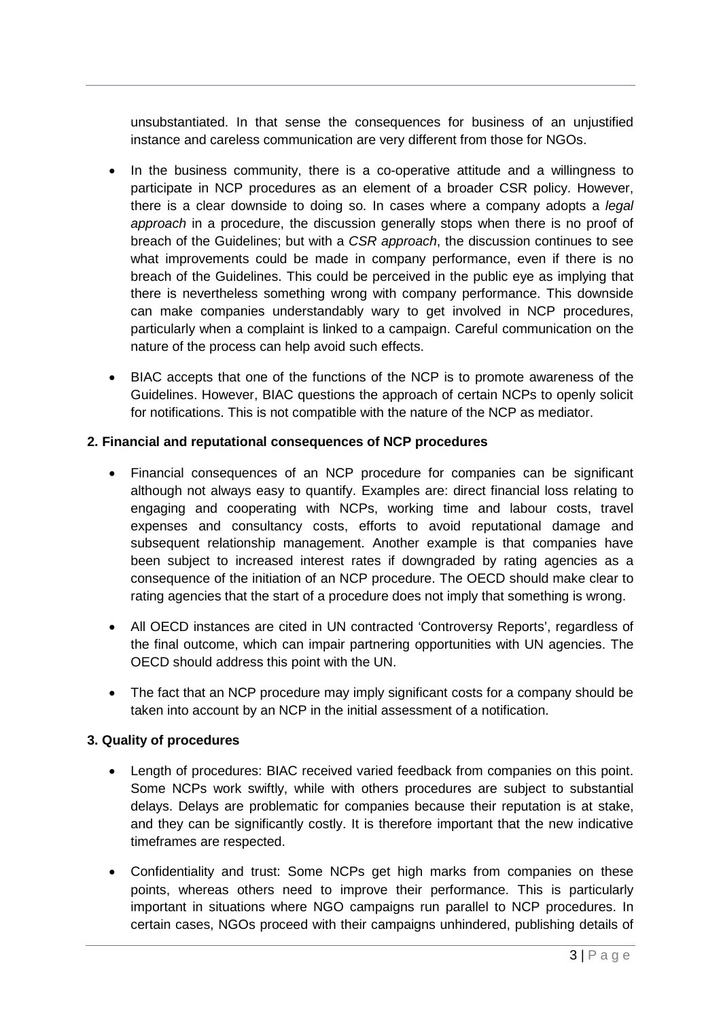unsubstantiated. In that sense the consequences for business of an unjustified instance and careless communication are very different from those for NGOs.

- In the business community, there is a co-operative attitude and a willingness to participate in NCP procedures as an element of a broader CSR policy. However, there is a clear downside to doing so. In cases where a company adopts a *legal approach* in a procedure, the discussion generally stops when there is no proof of breach of the Guidelines; but with a *CSR approach*, the discussion continues to see what improvements could be made in company performance, even if there is no breach of the Guidelines. This could be perceived in the public eye as implying that there is nevertheless something wrong with company performance. This downside can make companies understandably wary to get involved in NCP procedures, particularly when a complaint is linked to a campaign. Careful communication on the nature of the process can help avoid such effects.
- BIAC accepts that one of the functions of the NCP is to promote awareness of the Guidelines. However, BIAC questions the approach of certain NCPs to openly solicit for notifications. This is not compatible with the nature of the NCP as mediator.

#### **2. Financial and reputational consequences of NCP procedures**

- Financial consequences of an NCP procedure for companies can be significant although not always easy to quantify. Examples are: direct financial loss relating to engaging and cooperating with NCPs, working time and labour costs, travel expenses and consultancy costs, efforts to avoid reputational damage and subsequent relationship management. Another example is that companies have been subject to increased interest rates if downgraded by rating agencies as a consequence of the initiation of an NCP procedure. The OECD should make clear to rating agencies that the start of a procedure does not imply that something is wrong.
- All OECD instances are cited in UN contracted 'Controversy Reports', regardless of the final outcome, which can impair partnering opportunities with UN agencies. The OECD should address this point with the UN.
- The fact that an NCP procedure may imply significant costs for a company should be taken into account by an NCP in the initial assessment of a notification.

#### **3. Quality of procedures**

- Length of procedures: BIAC received varied feedback from companies on this point. Some NCPs work swiftly, while with others procedures are subject to substantial delays. Delays are problematic for companies because their reputation is at stake, and they can be significantly costly. It is therefore important that the new indicative timeframes are respected.
- Confidentiality and trust: Some NCPs get high marks from companies on these points, whereas others need to improve their performance. This is particularly important in situations where NGO campaigns run parallel to NCP procedures. In certain cases, NGOs proceed with their campaigns unhindered, publishing details of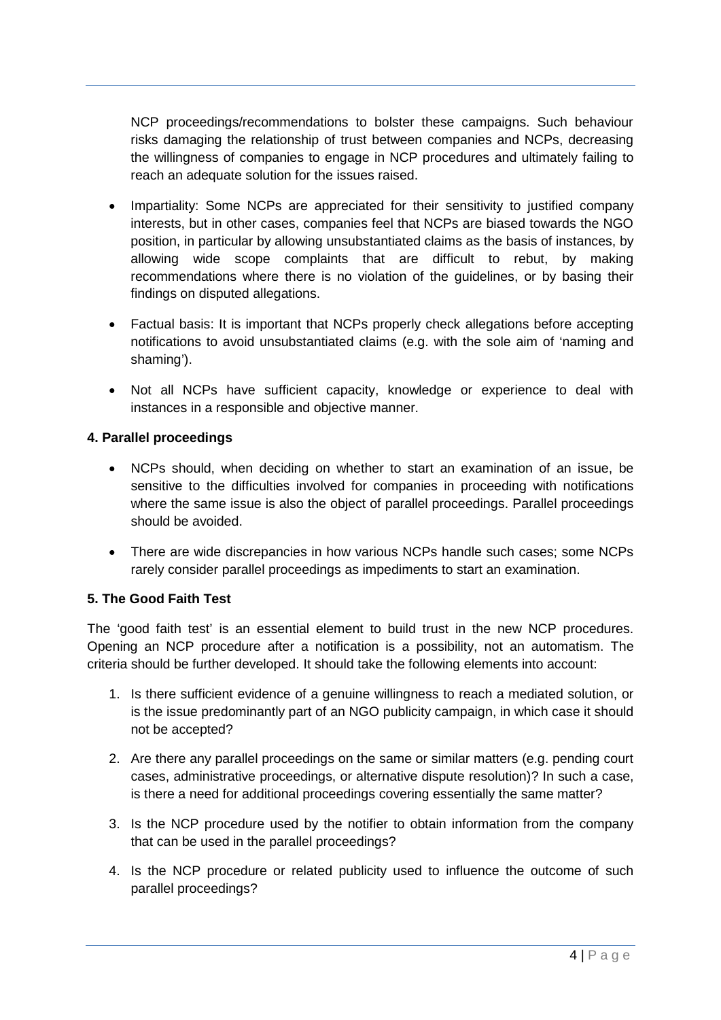NCP proceedings/recommendations to bolster these campaigns. Such behaviour risks damaging the relationship of trust between companies and NCPs, decreasing the willingness of companies to engage in NCP procedures and ultimately failing to reach an adequate solution for the issues raised.

- Impartiality: Some NCPs are appreciated for their sensitivity to justified company interests, but in other cases, companies feel that NCPs are biased towards the NGO position, in particular by allowing unsubstantiated claims as the basis of instances, by allowing wide scope complaints that are difficult to rebut, by making recommendations where there is no violation of the guidelines, or by basing their findings on disputed allegations.
- Factual basis: It is important that NCPs properly check allegations before accepting notifications to avoid unsubstantiated claims (e.g. with the sole aim of 'naming and shaming').
- Not all NCPs have sufficient capacity, knowledge or experience to deal with instances in a responsible and objective manner.

#### **4. Parallel proceedings**

- NCPs should, when deciding on whether to start an examination of an issue, be sensitive to the difficulties involved for companies in proceeding with notifications where the same issue is also the object of parallel proceedings. Parallel proceedings should be avoided.
- There are wide discrepancies in how various NCPs handle such cases; some NCPs rarely consider parallel proceedings as impediments to start an examination.

#### **5. The Good Faith Test**

The 'good faith test' is an essential element to build trust in the new NCP procedures. Opening an NCP procedure after a notification is a possibility, not an automatism. The criteria should be further developed. It should take the following elements into account:

- 1. Is there sufficient evidence of a genuine willingness to reach a mediated solution, or is the issue predominantly part of an NGO publicity campaign, in which case it should not be accepted?
- 2. Are there any parallel proceedings on the same or similar matters (e.g. pending court cases, administrative proceedings, or alternative dispute resolution)? In such a case, is there a need for additional proceedings covering essentially the same matter?
- 3. Is the NCP procedure used by the notifier to obtain information from the company that can be used in the parallel proceedings?
- 4. Is the NCP procedure or related publicity used to influence the outcome of such parallel proceedings?